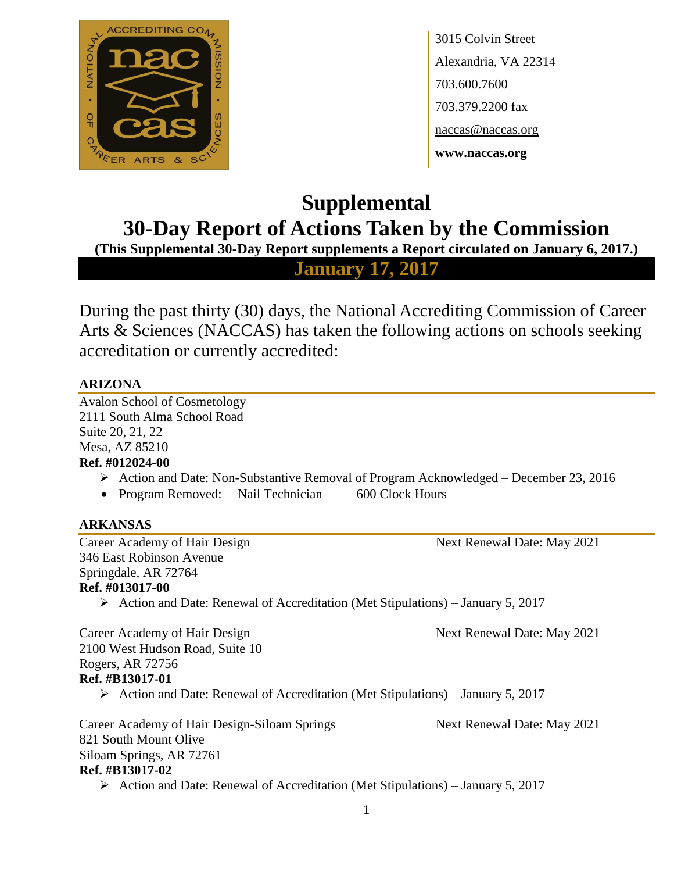

3015 Colvin Street Alexandria, VA 22314 703.600.7600 703.379.2200 fax naccas@naccas.org **www.naccas.org**

# **Supplemental 30-Day Report of Actions Taken by the Commission**

**(This Supplemental 30-Day Report supplements a Report circulated on January 6, 2017.)**

**January 17, 2017**

During the past thirty (30) days, the National Accrediting Commission of Career Arts & Sciences (NACCAS) has taken the following actions on schools seeking accreditation or currently accredited:

## **ARIZONA**

Avalon School of Cosmetology 2111 South Alma School Road Suite 20, 21, 22 Mesa, AZ 85210

## **Ref. #012024-00**

- Action and Date: Non-Substantive Removal of Program Acknowledged December 23, 2016
- Program Removed: Nail Technician 600 Clock Hours

## **ARKANSAS**

Career Academy of Hair Design Next Renewal Date: May 2021 346 East Robinson Avenue Springdale, AR 72764 **Ref. #013017-00**  $\triangleright$  Action and Date: Renewal of Accreditation (Met Stipulations) – January 5, 2017 Career Academy of Hair Design Next Renewal Date: May 2021 2100 West Hudson Road, Suite 10 Rogers, AR 72756 **Ref. #B13017-01** Action and Date: Renewal of Accreditation (Met Stipulations) – January 5, 2017 Career Academy of Hair Design-Siloam Springs Next Renewal Date: May 2021 821 South Mount Olive Siloam Springs, AR 72761 **Ref. #B13017-02** Action and Date: Renewal of Accreditation (Met Stipulations) – January 5, 2017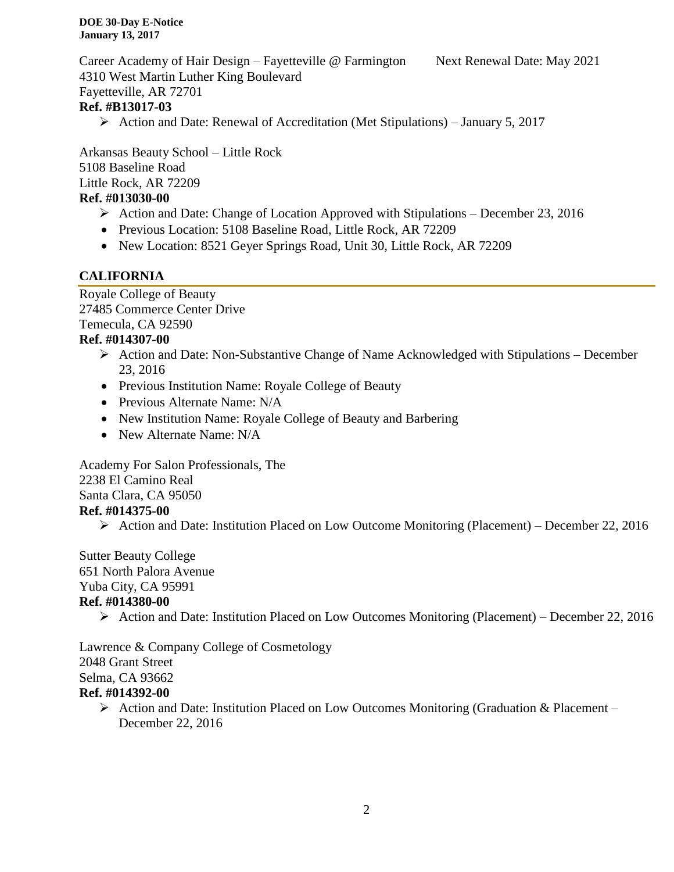Career Academy of Hair Design – Fayetteville @ Farmington Next Renewal Date: May 2021 4310 West Martin Luther King Boulevard Fayetteville, AR 72701

## **Ref. #B13017-03**

Action and Date: Renewal of Accreditation (Met Stipulations) – January 5, 2017

Arkansas Beauty School – Little Rock 5108 Baseline Road Little Rock, AR 72209

## **Ref. #013030-00**

- $\triangleright$  Action and Date: Change of Location Approved with Stipulations December 23, 2016
- Previous Location: 5108 Baseline Road, Little Rock, AR 72209
- New Location: 8521 Geyer Springs Road, Unit 30, Little Rock, AR 72209

## **CALIFORNIA**

Royale College of Beauty 27485 Commerce Center Drive Temecula, CA 92590

## **Ref. #014307-00**

- $\triangleright$  Action and Date: Non-Substantive Change of Name Acknowledged with Stipulations December 23, 2016
- Previous Institution Name: Royale College of Beauty
- Previous Alternate Name: N/A
- New Institution Name: Royale College of Beauty and Barbering
- New Alternate Name: N/A

Academy For Salon Professionals, The 2238 El Camino Real Santa Clara, CA 95050 **Ref. #014375-00**

 $\triangleright$  Action and Date: Institution Placed on Low Outcome Monitoring (Placement) – December 22, 2016

#### Sutter Beauty College 651 North Palora Avenue Yuba City, CA 95991

## **Ref. #014380-00**

Action and Date: Institution Placed on Low Outcomes Monitoring (Placement) – December 22, 2016

Lawrence & Company College of Cosmetology 2048 Grant Street Selma, CA 93662

## **Ref. #014392-00**

 $\triangleright$  Action and Date: Institution Placed on Low Outcomes Monitoring (Graduation & Placement – December 22, 2016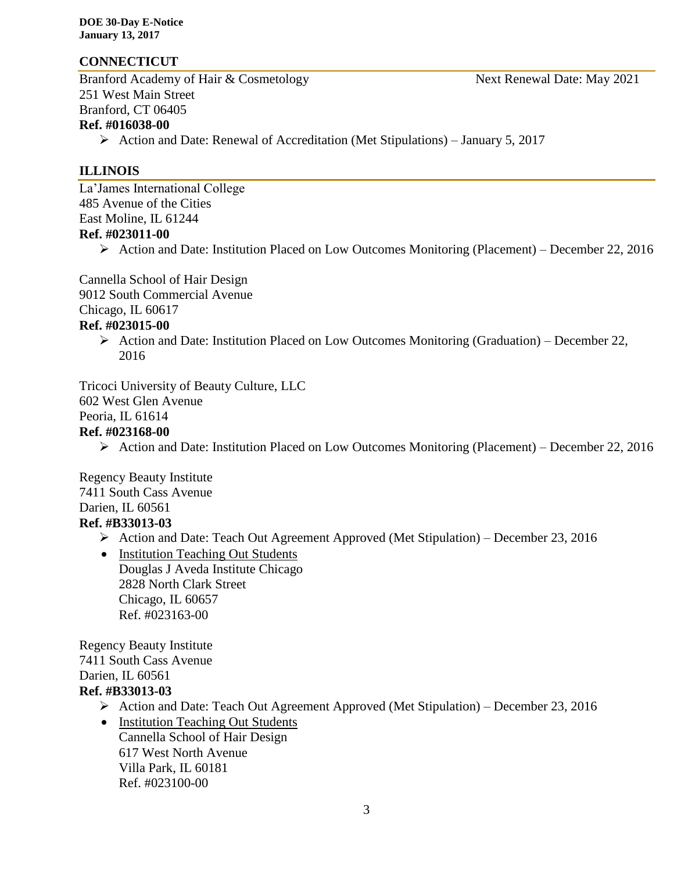## **CONNECTICUT**

Branford Academy of Hair & Cosmetology Next Renewal Date: May 2021 251 West Main Street Branford, CT 06405 **Ref. #016038-00**

 $\triangleright$  Action and Date: Renewal of Accreditation (Met Stipulations) – January 5, 2017

## **ILLINOIS**

La'James International College 485 Avenue of the Cities East Moline, IL 61244

#### **Ref. #023011-00**

Action and Date: Institution Placed on Low Outcomes Monitoring (Placement) – December 22, 2016

Cannella School of Hair Design 9012 South Commercial Avenue Chicago, IL 60617

#### **Ref. #023015-00**

Action and Date: Institution Placed on Low Outcomes Monitoring (Graduation) – December 22, 2016

Tricoci University of Beauty Culture, LLC

602 West Glen Avenue

# Peoria, IL 61614

## **Ref. #023168-00**

Action and Date: Institution Placed on Low Outcomes Monitoring (Placement) – December 22, 2016

Regency Beauty Institute 7411 South Cass Avenue Darien, IL 60561 **Ref. #B33013-03**

Action and Date: Teach Out Agreement Approved (Met Stipulation) – December 23, 2016

• Institution Teaching Out Students Douglas J Aveda Institute Chicago 2828 North Clark Street Chicago, IL 60657 Ref. #023163-00

Regency Beauty Institute 7411 South Cass Avenue Darien, IL 60561

## **Ref. #B33013-03**

- Action and Date: Teach Out Agreement Approved (Met Stipulation) December 23, 2016
- Institution Teaching Out Students Cannella School of Hair Design 617 West North Avenue Villa Park, IL 60181 Ref. #023100-00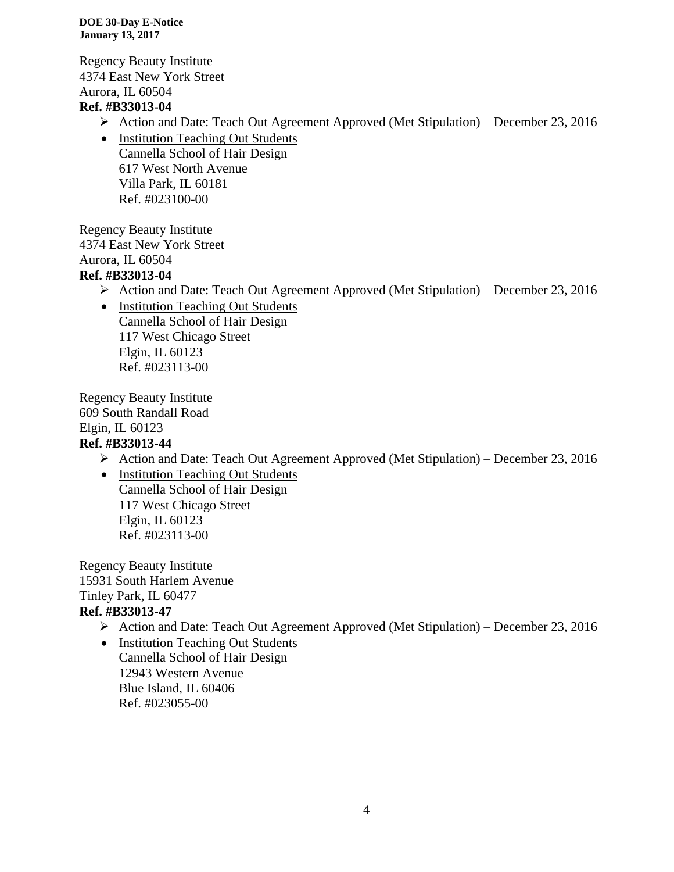Regency Beauty Institute 4374 East New York Street Aurora, IL 60504 **Ref. #B33013-04**

- Action and Date: Teach Out Agreement Approved (Met Stipulation) December 23, 2016
- Institution Teaching Out Students Cannella School of Hair Design 617 West North Avenue Villa Park, IL 60181 Ref. #023100-00

Regency Beauty Institute 4374 East New York Street Aurora, IL 60504 **Ref. #B33013-04**

- Action and Date: Teach Out Agreement Approved (Met Stipulation) December 23, 2016
	- Institution Teaching Out Students Cannella School of Hair Design 117 West Chicago Street Elgin, IL 60123 Ref. #023113-00

Regency Beauty Institute 609 South Randall Road Elgin, IL 60123 **Ref. #B33013-44**

- Action and Date: Teach Out Agreement Approved (Met Stipulation) December 23, 2016
- Institution Teaching Out Students Cannella School of Hair Design 117 West Chicago Street Elgin, IL 60123 Ref. #023113-00

Regency Beauty Institute 15931 South Harlem Avenue Tinley Park, IL 60477 **Ref. #B33013-47**

- Action and Date: Teach Out Agreement Approved (Met Stipulation) December 23, 2016
- Institution Teaching Out Students Cannella School of Hair Design 12943 Western Avenue Blue Island, IL 60406 Ref. #023055-00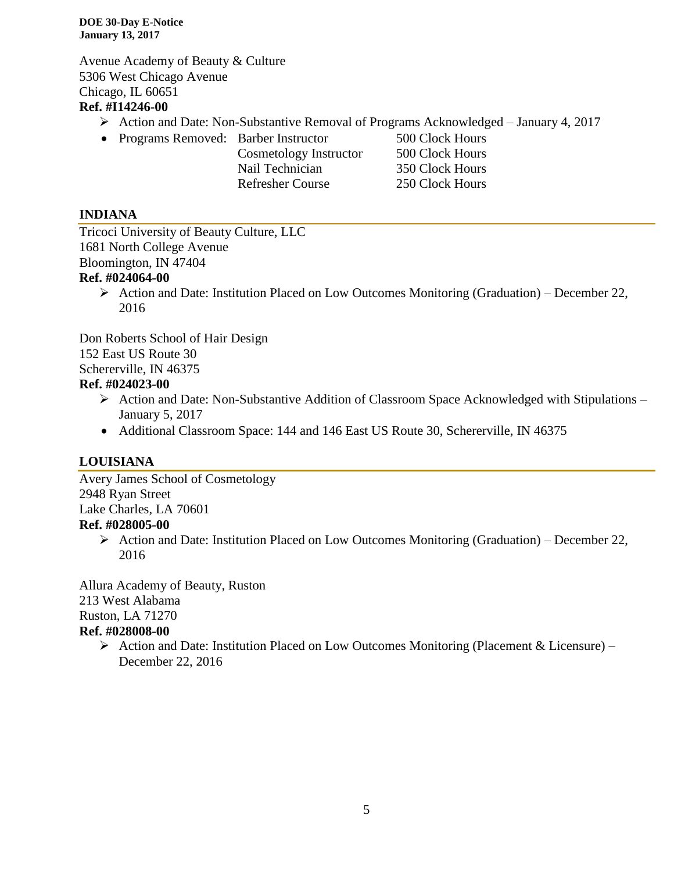Avenue Academy of Beauty & Culture 5306 West Chicago Avenue Chicago, IL 60651

## **Ref. #I14246-00**

- Action and Date: Non-Substantive Removal of Programs Acknowledged January 4, 2017
- Programs Removed: Barber Instructor 500 Clock Hours
	- Cosmetology Instructor 500 Clock Hours Nail Technician 350 Clock Hours Refresher Course 250 Clock Hours

## **INDIANA**

Tricoci University of Beauty Culture, LLC 1681 North College Avenue Bloomington, IN 47404

## **Ref. #024064-00**

Action and Date: Institution Placed on Low Outcomes Monitoring (Graduation) – December 22, 2016

Don Roberts School of Hair Design

152 East US Route 30

Schererville, IN 46375

## **Ref. #024023-00**

- Action and Date: Non-Substantive Addition of Classroom Space Acknowledged with Stipulations January 5, 2017
- Additional Classroom Space: 144 and 146 East US Route 30, Schererville, IN 46375

## **LOUISIANA**

Avery James School of Cosmetology 2948 Ryan Street Lake Charles, LA 70601

## **Ref. #028005-00**

 $\triangleright$  Action and Date: Institution Placed on Low Outcomes Monitoring (Graduation) – December 22, 2016

Allura Academy of Beauty, Ruston 213 West Alabama

Ruston, LA 71270

## **Ref. #028008-00**

 $\triangleright$  Action and Date: Institution Placed on Low Outcomes Monitoring (Placement & Licensure) – December 22, 2016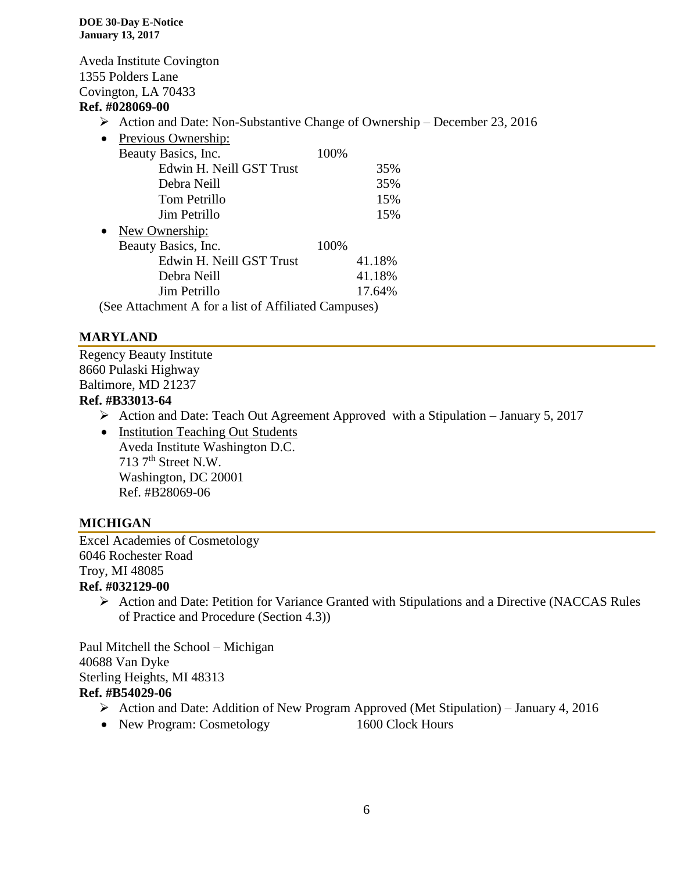Aveda Institute Covington 1355 Polders Lane Covington, LA 70433

## **Ref. #028069-00**

- $\triangleright$  Action and Date: Non-Substantive Change of Ownership December 23, 2016
- Previous Ownership: Beauty Basics, Inc. 100% Edwin H. Neill GST Trust 35% Debra Neill 35% Tom Petrillo 15% Jim Petrillo 15% • New Ownership: Beauty Basics, Inc. 100% Edwin H. Neill GST Trust 41.18% Debra Neill 41.18% Jim Petrillo 17.64% (See Attachment A for a list of Affiliated Campuses)

## **MARYLAND**

Regency Beauty Institute 8660 Pulaski Highway Baltimore, MD 21237 **Ref. #B33013-64**

- $\triangleright$  Action and Date: Teach Out Agreement Approved with a Stipulation January 5, 2017
- Institution Teaching Out Students Aveda Institute Washington D.C.  $713$   $7<sup>th</sup>$  Street N.W. Washington, DC 20001 Ref. #B28069-06

## **MICHIGAN**

Excel Academies of Cosmetology 6046 Rochester Road Troy, MI 48085 **Ref. #032129-00**

 $\triangleright$  Action and Date: Petition for Variance Granted with Stipulations and a Directive (NACCAS Rules of Practice and Procedure (Section 4.3))

Paul Mitchell the School – Michigan 40688 Van Dyke Sterling Heights, MI 48313 **Ref. #B54029-06**

- Action and Date: Addition of New Program Approved (Met Stipulation) January 4, 2016
- New Program: Cosmetology 1600 Clock Hours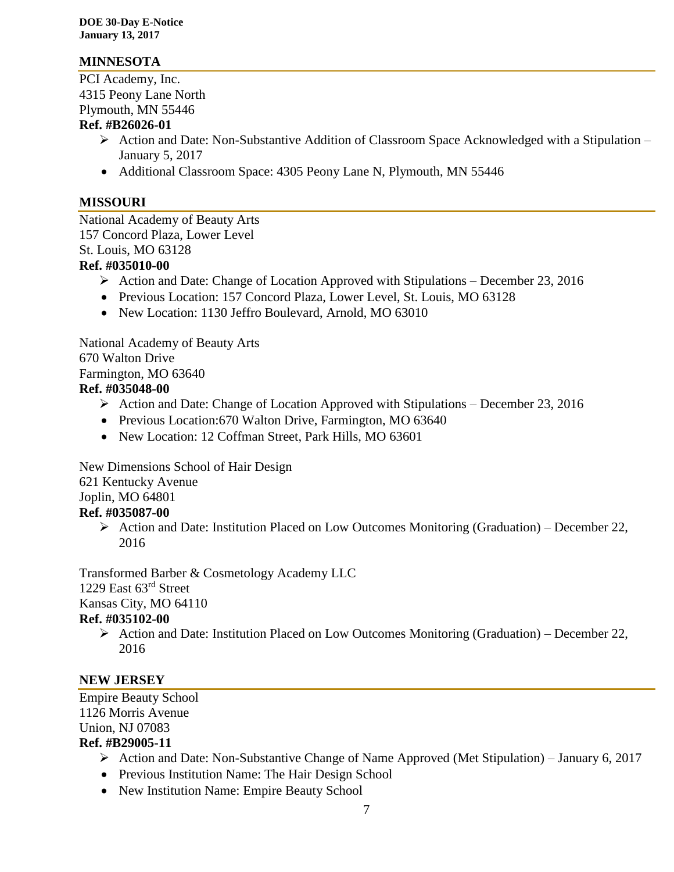## **MINNESOTA**

PCI Academy, Inc. 4315 Peony Lane North Plymouth, MN 55446

#### **Ref. #B26026-01**

- $\triangleright$  Action and Date: Non-Substantive Addition of Classroom Space Acknowledged with a Stipulation January 5, 2017
- Additional Classroom Space: 4305 Peony Lane N, Plymouth, MN 55446

## **MISSOURI**

National Academy of Beauty Arts 157 Concord Plaza, Lower Level St. Louis, MO 63128

- **Ref. #035010-00**
	- Action and Date: Change of Location Approved with Stipulations December 23, 2016
	- Previous Location: 157 Concord Plaza, Lower Level, St. Louis, MO 63128
	- New Location: 1130 Jeffro Boulevard, Arnold, MO 63010

National Academy of Beauty Arts 670 Walton Drive Farmington, MO 63640 **Ref. #035048-00**

- Action and Date: Change of Location Approved with Stipulations December 23, 2016
- Previous Location: 670 Walton Drive, Farmington, MO 63640
- New Location: 12 Coffman Street, Park Hills, MO 63601

New Dimensions School of Hair Design 621 Kentucky Avenue Joplin, MO 64801 **Ref. #035087-00**

 $\triangleright$  Action and Date: Institution Placed on Low Outcomes Monitoring (Graduation) – December 22, 2016

Transformed Barber & Cosmetology Academy LLC 1229 East 63rd Street Kansas City, MO 64110 **Ref. #035102-00**

Action and Date: Institution Placed on Low Outcomes Monitoring (Graduation) – December 22, 2016

## **NEW JERSEY**

Empire Beauty School 1126 Morris Avenue Union, NJ 07083 **Ref. #B29005-11**

- $\triangleright$  Action and Date: Non-Substantive Change of Name Approved (Met Stipulation) January 6, 2017
- Previous Institution Name: The Hair Design School
- New Institution Name: Empire Beauty School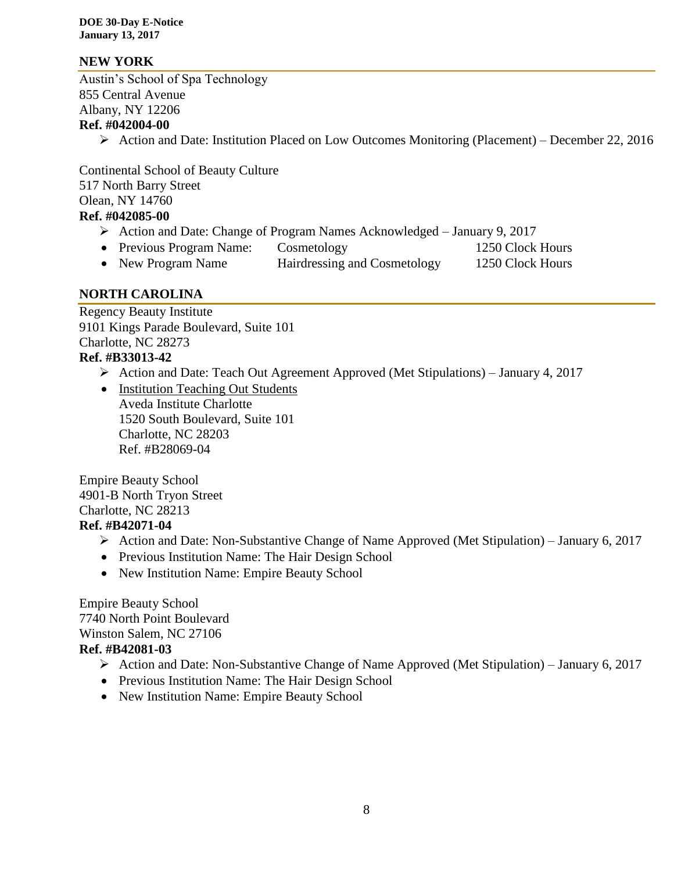## **NEW YORK**

Austin's School of Spa Technology 855 Central Avenue Albany, NY 12206 **Ref. #042004-00**

Action and Date: Institution Placed on Low Outcomes Monitoring (Placement) – December 22, 2016

Continental School of Beauty Culture 517 North Barry Street Olean, NY 14760 **Ref. #042085-00**

- Action and Date: Change of Program Names Acknowledged January 9, 2017
- Previous Program Name: Cosmetology 1250 Clock Hours
- New Program Name Hairdressing and Cosmetology 1250 Clock Hours

#### **NORTH CAROLINA**

Regency Beauty Institute 9101 Kings Parade Boulevard, Suite 101 Charlotte, NC 28273 **Ref. #B33013-42**

Action and Date: Teach Out Agreement Approved (Met Stipulations) – January 4, 2017

• Institution Teaching Out Students Aveda Institute Charlotte 1520 South Boulevard, Suite 101 Charlotte, NC 28203 Ref. #B28069-04

Empire Beauty School 4901-B North Tryon Street Charlotte, NC 28213

#### **Ref. #B42071-04**

- $\triangleright$  Action and Date: Non-Substantive Change of Name Approved (Met Stipulation) January 6, 2017
- Previous Institution Name: The Hair Design School
- New Institution Name: Empire Beauty School

Empire Beauty School 7740 North Point Boulevard Winston Salem, NC 27106

#### **Ref. #B42081-03**

- Action and Date: Non-Substantive Change of Name Approved (Met Stipulation) January 6, 2017
- Previous Institution Name: The Hair Design School
- New Institution Name: Empire Beauty School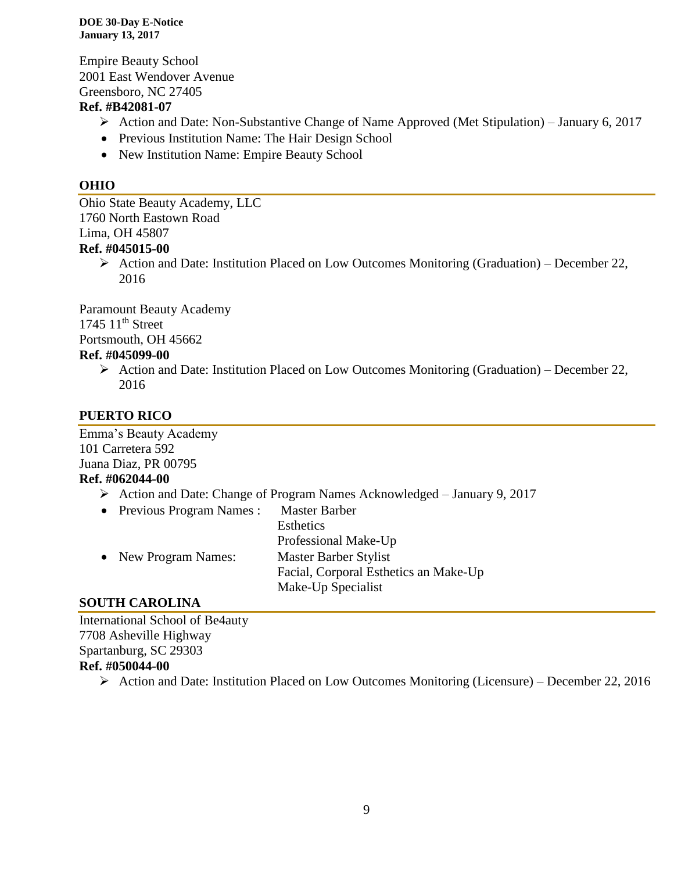Empire Beauty School 2001 East Wendover Avenue Greensboro, NC 27405

## **Ref. #B42081-07**

- $\triangleright$  Action and Date: Non-Substantive Change of Name Approved (Met Stipulation) January 6, 2017
- Previous Institution Name: The Hair Design School
- New Institution Name: Empire Beauty School

## **OHIO**

Ohio State Beauty Academy, LLC 1760 North Eastown Road Lima, OH 45807 **Ref. #045015-00**

> Action and Date: Institution Placed on Low Outcomes Monitoring (Graduation) – December 22, 2016

Paramount Beauty Academy  $1745$   $11<sup>th</sup>$  Street Portsmouth, OH 45662

## **Ref. #045099-00**

Action and Date: Institution Placed on Low Outcomes Monitoring (Graduation) – December 22, 2016

## **PUERTO RICO**

Emma's Beauty Academy 101 Carretera 592 Juana Diaz, PR 00795 **Ref. #062044-00**

Action and Date: Change of Program Names Acknowledged – January 9, 2017

| <b>Master Barber</b>                               |
|----------------------------------------------------|
| <b>Esthetics</b>                                   |
| Professional Make-Up                               |
| Master Barber Stylist                              |
| Facial, Corporal Esthetics an Make-Up              |
| Make-Up Specialist                                 |
| • Previous Program Names :<br>• New Program Names: |

## **SOUTH CAROLINA**

International School of Be4auty 7708 Asheville Highway Spartanburg, SC 29303 **Ref. #050044-00**

 $\triangleright$  Action and Date: Institution Placed on Low Outcomes Monitoring (Licensure) – December 22, 2016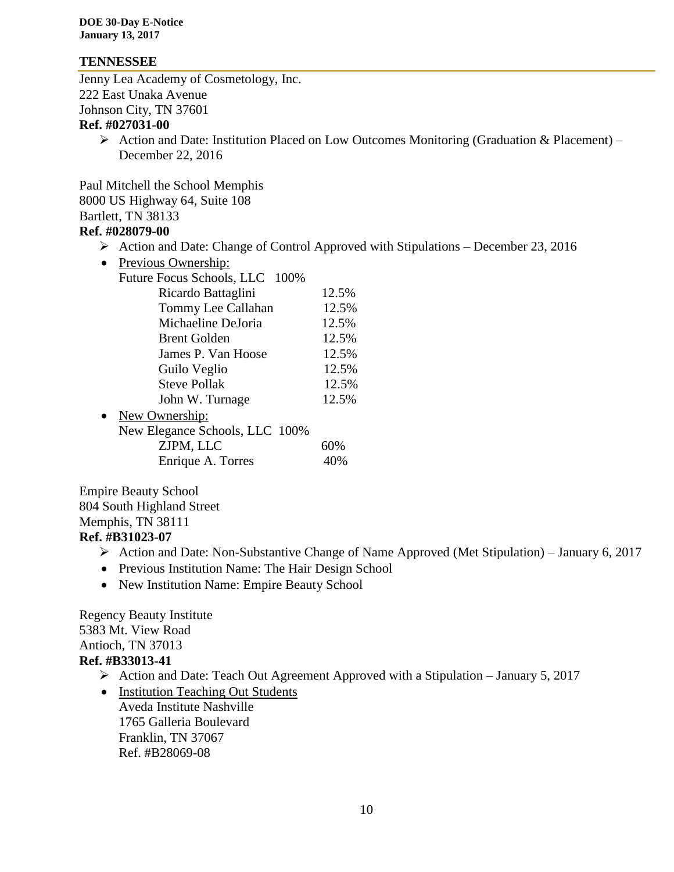#### **TENNESSEE**

Jenny Lea Academy of Cosmetology, Inc. 222 East Unaka Avenue Johnson City, TN 37601

#### **Ref. #027031-00**

 $\triangleright$  Action and Date: Institution Placed on Low Outcomes Monitoring (Graduation & Placement) – December 22, 2016

Paul Mitchell the School Memphis 8000 US Highway 64, Suite 108 Bartlett, TN 38133 **Ref. #028079-00**

- $\triangleright$  Action and Date: Change of Control Approved with Stipulations December 23, 2016
- Previous Ownership: Future Focus Schools, LLC 100% Ricardo Battaglini 12.5% Tommy Lee Callahan 12.5% Michaeline DeJoria 12.5% Brent Golden 12.5% James P. Van Hoose 12.5% Guilo Veglio 12.5% Steve Pollak 12.5% John W. Turnage 12.5% • New Ownership: New Elegance Schools, LLC 100% ZJPM, LLC 60% Enrique A. Torres 40%

Empire Beauty School 804 South Highland Street Memphis, TN 38111 **Ref. #B31023-07**

- $\triangleright$  Action and Date: Non-Substantive Change of Name Approved (Met Stipulation) January 6, 2017
- Previous Institution Name: The Hair Design School
- New Institution Name: Empire Beauty School

Regency Beauty Institute 5383 Mt. View Road Antioch, TN 37013 **Ref. #B33013-41**

- Action and Date: Teach Out Agreement Approved with a Stipulation January 5, 2017
- Institution Teaching Out Students Aveda Institute Nashville 1765 Galleria Boulevard Franklin, TN 37067 Ref. #B28069-08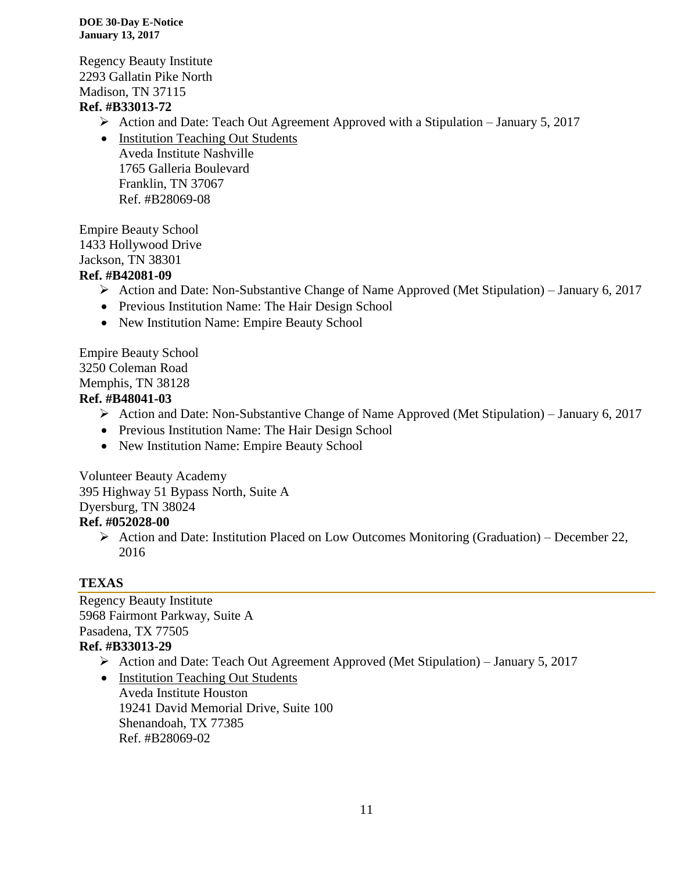Regency Beauty Institute 2293 Gallatin Pike North Madison, TN 37115

## **Ref. #B33013-72**

- Action and Date: Teach Out Agreement Approved with a Stipulation January 5, 2017
- Institution Teaching Out Students Aveda Institute Nashville 1765 Galleria Boulevard Franklin, TN 37067 Ref. #B28069-08

Empire Beauty School 1433 Hollywood Drive Jackson, TN 38301

## **Ref. #B42081-09**

- $\triangleright$  Action and Date: Non-Substantive Change of Name Approved (Met Stipulation) January 6, 2017
- Previous Institution Name: The Hair Design School
- New Institution Name: Empire Beauty School

Empire Beauty School 3250 Coleman Road Memphis, TN 38128 **Ref. #B48041-03**

- $\triangleright$  Action and Date: Non-Substantive Change of Name Approved (Met Stipulation) January 6, 2017
- Previous Institution Name: The Hair Design School
- New Institution Name: Empire Beauty School

Volunteer Beauty Academy 395 Highway 51 Bypass North, Suite A Dyersburg, TN 38024

# **Ref. #052028-00**

 $\triangleright$  Action and Date: Institution Placed on Low Outcomes Monitoring (Graduation) – December 22, 2016

## **TEXAS**

Regency Beauty Institute 5968 Fairmont Parkway, Suite A Pasadena, TX 77505 **Ref. #B33013-29**

Action and Date: Teach Out Agreement Approved (Met Stipulation) – January 5, 2017

• Institution Teaching Out Students Aveda Institute Houston 19241 David Memorial Drive, Suite 100 Shenandoah, TX 77385 Ref. #B28069-02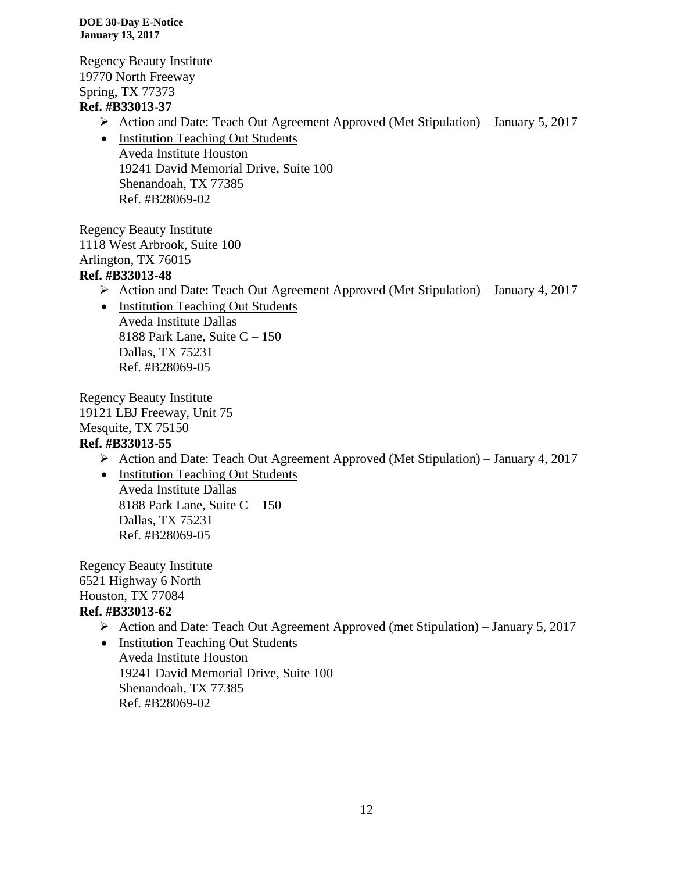Regency Beauty Institute 19770 North Freeway Spring, TX 77373

## **Ref. #B33013-37**

Action and Date: Teach Out Agreement Approved (Met Stipulation) – January 5, 2017

• Institution Teaching Out Students Aveda Institute Houston 19241 David Memorial Drive, Suite 100 Shenandoah, TX 77385 Ref. #B28069-02

Regency Beauty Institute 1118 West Arbrook, Suite 100 Arlington, TX 76015 **Ref. #B33013-48**

- Action and Date: Teach Out Agreement Approved (Met Stipulation) January 4, 2017
- Institution Teaching Out Students Aveda Institute Dallas 8188 Park Lane, Suite C – 150 Dallas, TX 75231 Ref. #B28069-05

Regency Beauty Institute 19121 LBJ Freeway, Unit 75 Mesquite, TX 75150 **Ref. #B33013-55**

- Action and Date: Teach Out Agreement Approved (Met Stipulation) January 4, 2017
- Institution Teaching Out Students Aveda Institute Dallas 8188 Park Lane, Suite C – 150 Dallas, TX 75231 Ref. #B28069-05

Regency Beauty Institute 6521 Highway 6 North Houston, TX 77084 **Ref. #B33013-62**

- Action and Date: Teach Out Agreement Approved (met Stipulation) January 5, 2017
- Institution Teaching Out Students Aveda Institute Houston 19241 David Memorial Drive, Suite 100 Shenandoah, TX 77385 Ref. #B28069-02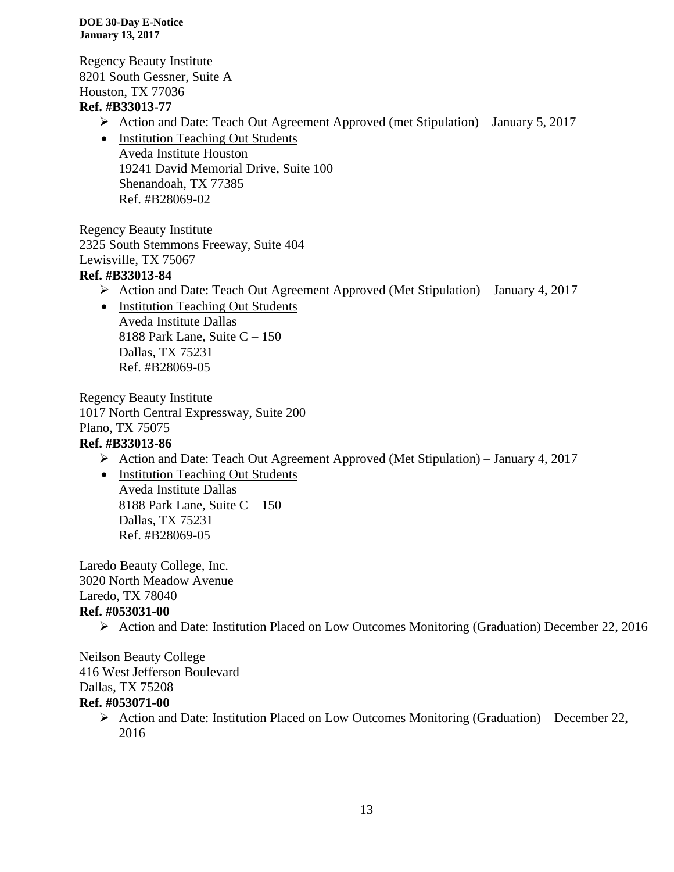Regency Beauty Institute 8201 South Gessner, Suite A Houston, TX 77036

## **Ref. #B33013-77**

- Action and Date: Teach Out Agreement Approved (met Stipulation) January 5, 2017
- Institution Teaching Out Students Aveda Institute Houston 19241 David Memorial Drive, Suite 100 Shenandoah, TX 77385 Ref. #B28069-02

Regency Beauty Institute 2325 South Stemmons Freeway, Suite 404 Lewisville, TX 75067

## **Ref. #B33013-84**

- Action and Date: Teach Out Agreement Approved (Met Stipulation) January 4, 2017
- Institution Teaching Out Students Aveda Institute Dallas 8188 Park Lane, Suite  $C - 150$ Dallas, TX 75231 Ref. #B28069-05

Regency Beauty Institute 1017 North Central Expressway, Suite 200 Plano, TX 75075 **Ref. #B33013-86**

- Action and Date: Teach Out Agreement Approved (Met Stipulation) January 4, 2017
- Institution Teaching Out Students Aveda Institute Dallas 8188 Park Lane, Suite C – 150 Dallas, TX 75231 Ref. #B28069-05

Laredo Beauty College, Inc. 3020 North Meadow Avenue Laredo, TX 78040 **Ref. #053031-00**

Action and Date: Institution Placed on Low Outcomes Monitoring (Graduation) December 22, 2016

Neilson Beauty College 416 West Jefferson Boulevard Dallas, TX 75208 **Ref. #053071-00**

Action and Date: Institution Placed on Low Outcomes Monitoring (Graduation) – December 22, 2016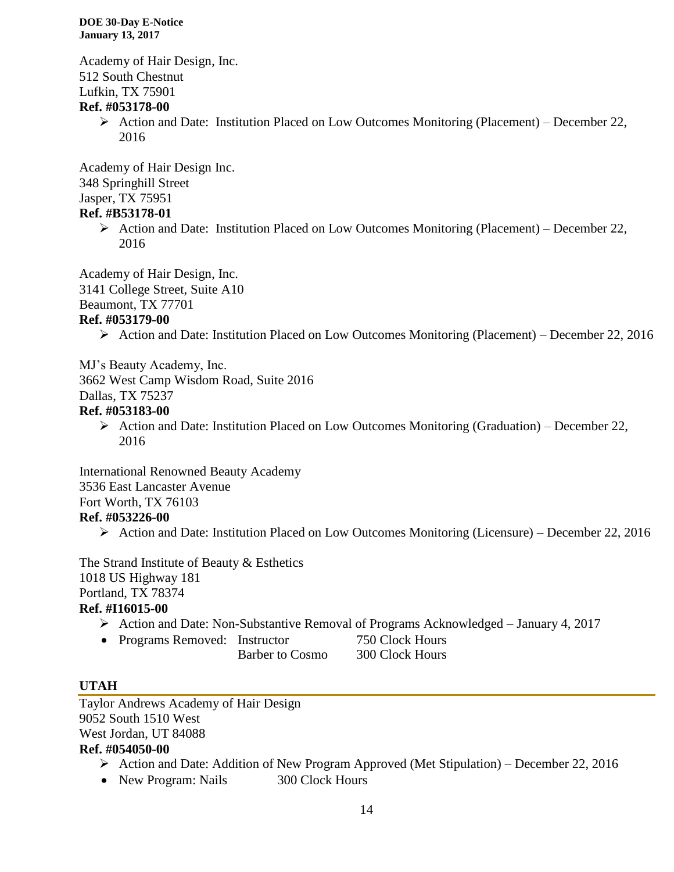Academy of Hair Design, Inc. 512 South Chestnut Lufkin, TX 75901

#### **Ref. #053178-00**

 $\triangleright$  Action and Date: Institution Placed on Low Outcomes Monitoring (Placement) – December 22, 2016

Academy of Hair Design Inc. 348 Springhill Street Jasper, TX 75951

#### **Ref. #B53178-01**

 $\triangleright$  Action and Date: Institution Placed on Low Outcomes Monitoring (Placement) – December 22, 2016

Academy of Hair Design, Inc. 3141 College Street, Suite A10 Beaumont, TX 77701

#### **Ref. #053179-00**

Action and Date: Institution Placed on Low Outcomes Monitoring (Placement) – December 22, 2016

MJ's Beauty Academy, Inc.

3662 West Camp Wisdom Road, Suite 2016

Dallas, TX 75237

#### **Ref. #053183-00**

 $\triangleright$  Action and Date: Institution Placed on Low Outcomes Monitoring (Graduation) – December 22, 2016

International Renowned Beauty Academy 3536 East Lancaster Avenue Fort Worth, TX 76103 **Ref. #053226-00**

 $\triangleright$  Action and Date: Institution Placed on Low Outcomes Monitoring (Licensure) – December 22, 2016

The Strand Institute of Beauty & Esthetics 1018 US Highway 181 Portland, TX 78374 **Ref. #I16015-00**

Action and Date: Non-Substantive Removal of Programs Acknowledged – January 4, 2017

• Programs Removed: Instructor 750 Clock Hours

Barber to Cosmo 300 Clock Hours

#### **UTAH**

Taylor Andrews Academy of Hair Design 9052 South 1510 West West Jordan, UT 84088 **Ref. #054050-00**

- $\triangleright$  Action and Date: Addition of New Program Approved (Met Stipulation) December 22, 2016
- New Program: Nails 300 Clock Hours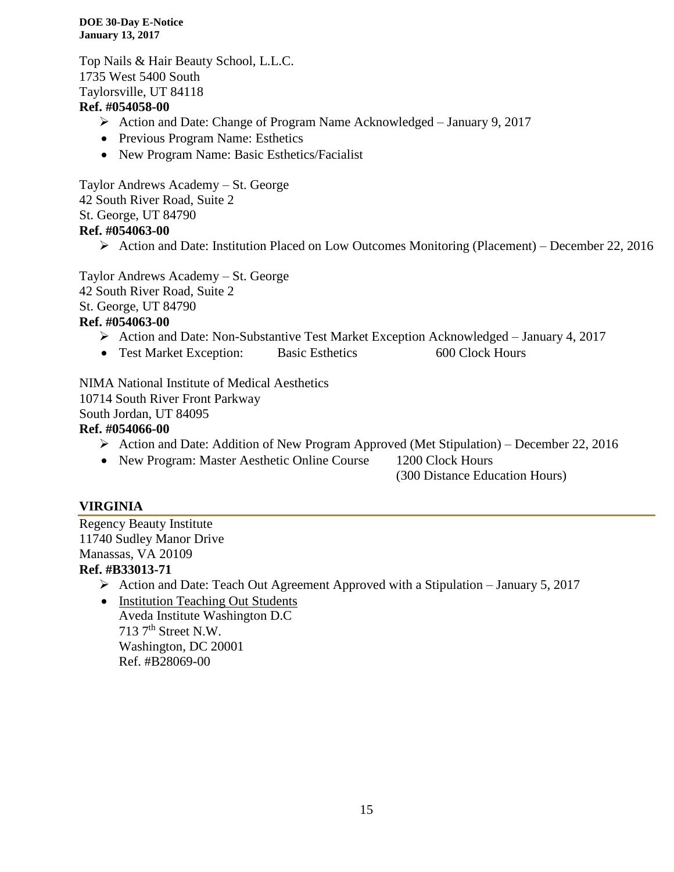Top Nails & Hair Beauty School, L.L.C. 1735 West 5400 South Taylorsville, UT 84118

## **Ref. #054058-00**

- Action and Date: Change of Program Name Acknowledged January 9, 2017
- Previous Program Name: Esthetics
- New Program Name: Basic Esthetics/Facialist

Taylor Andrews Academy – St. George 42 South River Road, Suite 2 St. George, UT 84790 **Ref. #054063-00**

 $\triangleright$  Action and Date: Institution Placed on Low Outcomes Monitoring (Placement) – December 22, 2016

Taylor Andrews Academy – St. George 42 South River Road, Suite 2 St. George, UT 84790 **Ref. #054063-00**

- $\triangleright$  Action and Date: Non-Substantive Test Market Exception Acknowledged January 4, 2017
- Test Market Exception: Basic Esthetics 600 Clock Hours

NIMA National Institute of Medical Aesthetics 10714 South River Front Parkway South Jordan, UT 84095

#### **Ref. #054066-00**

- Action and Date: Addition of New Program Approved (Met Stipulation) December 22, 2016
- New Program: Master Aesthetic Online Course 1200 Clock Hours
	- (300 Distance Education Hours)

## **VIRGINIA**

Regency Beauty Institute 11740 Sudley Manor Drive Manassas, VA 20109

## **Ref. #B33013-71**

- $\triangleright$  Action and Date: Teach Out Agreement Approved with a Stipulation January 5, 2017
- Institution Teaching Out Students Aveda Institute Washington D.C  $713$  7<sup>th</sup> Street N.W. Washington, DC 20001 Ref. #B28069-00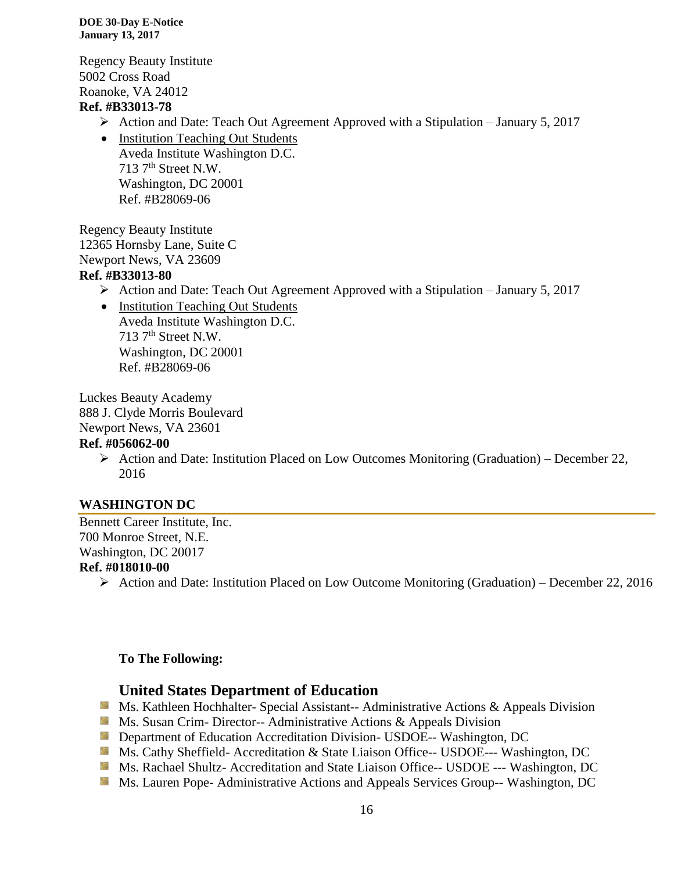Regency Beauty Institute 5002 Cross Road Roanoke, VA 24012

#### **Ref. #B33013-78**

- Action and Date: Teach Out Agreement Approved with a Stipulation January 5, 2017
- Institution Teaching Out Students Aveda Institute Washington D.C.  $713$  7<sup>th</sup> Street N.W. Washington, DC 20001 Ref. #B28069-06

Regency Beauty Institute 12365 Hornsby Lane, Suite C Newport News, VA 23609 **Ref. #B33013-80**

Action and Date: Teach Out Agreement Approved with a Stipulation – January 5, 2017

• Institution Teaching Out Students Aveda Institute Washington D.C.  $713$  7<sup>th</sup> Street N.W. Washington, DC 20001 Ref. #B28069-06

Luckes Beauty Academy

888 J. Clyde Morris Boulevard

Newport News, VA 23601

#### **Ref. #056062-00**

Action and Date: Institution Placed on Low Outcomes Monitoring (Graduation) – December 22, 2016

## **WASHINGTON DC**

Bennett Career Institute, Inc. 700 Monroe Street, N.E. Washington, DC 20017

#### **Ref. #018010-00**

 $\triangleright$  Action and Date: Institution Placed on Low Outcome Monitoring (Graduation) – December 22, 2016

#### **To The Following:**

#### **United States Department of Education**

Ms. Kathleen Hochhalter- Special Assistant-- Administrative Actions & Appeals Division

- **Ms. Susan Crim- Director-- Administrative Actions & Appeals Division**
- **Department of Education Accreditation Division- USDOE-- Washington, DC**
- Ms. Cathy Sheffield- Accreditation & State Liaison Office-- USDOE--- Washington, DC
- Ms. Rachael Shultz- Accreditation and State Liaison Office-- USDOE --- Washington, DC
- **Ms. Lauren Pope- Administrative Actions and Appeals Services Group-- Washington, DC**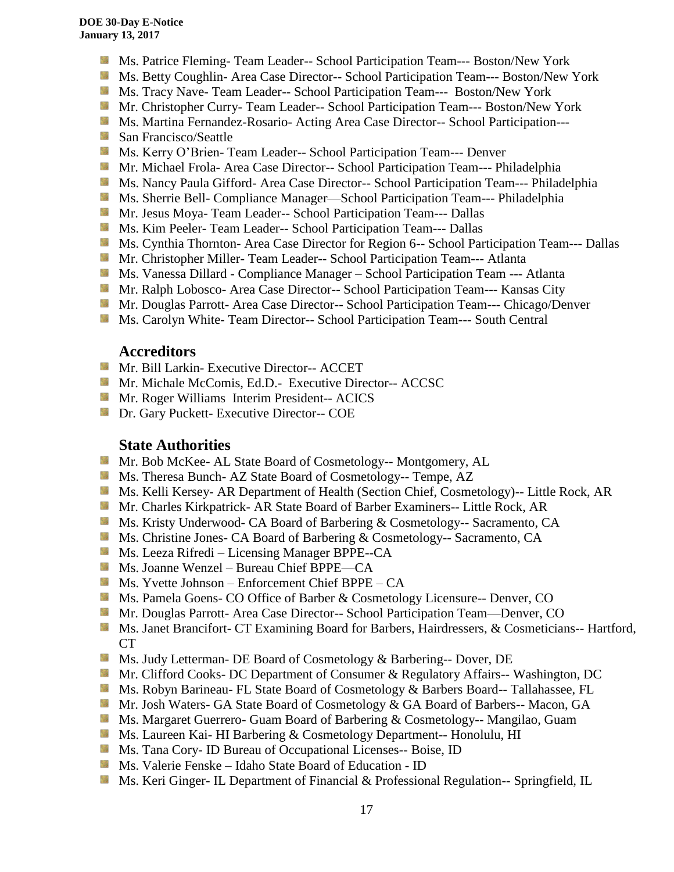- Ms. Patrice Fleming- Team Leader-- School Participation Team--- Boston/New York
- Ms. Betty Coughlin- Area Case Director-- School Participation Team--- Boston/New York
- **MS. Tracy Nave-Team Leader-- School Participation Team--- Boston/New York**
- **Mr.** Christopher Curry- Team Leader-- School Participation Team--- Boston/New York
- Ms. Martina Fernandez-Rosario- Acting Area Case Director-- School Participation---
- **San Francisco/Seattle**
- **Ms. Kerry O'Brien- Team Leader-- School Participation Team--- Denver**
- Mr. Michael Frola- Area Case Director-- School Participation Team--- Philadelphia
- **Ms. Nancy Paula Gifford- Area Case Director-- School Participation Team--- Philadelphia**
- Ms. Sherrie Bell- Compliance Manager—School Participation Team--- Philadelphia
- **Mr. Jesus Moya- Team Leader-- School Participation Team--- Dallas**
- **Ms. Kim Peeler- Team Leader-- School Participation Team--- Dallas**
- Ms. Cynthia Thornton- Area Case Director for Region 6-- School Participation Team--- Dallas
- **Mr.** Christopher Miller-Team Leader-- School Participation Team--- Atlanta
- **Ms. Vanessa Dillard Compliance Manager School Participation Team --- Atlanta**
- **Mr. Ralph Lobosco- Area Case Director-- School Participation Team--- Kansas City**
- **Mr. Douglas Parrott- Area Case Director-- School Participation Team--- Chicago/Denver**
- **Ms. Carolyn White- Team Director-- School Participation Team--- South Central**

#### **Accreditors**

- **Mr. Bill Larkin- Executive Director-- ACCET**
- **Mr. Michale McComis, Ed.D.- Executive Director-- ACCSC**
- **Mr. Roger Williams Interim President-- ACICS**
- **Dr.** Gary Puckett- Executive Director-- COE

## **State Authorities**

- Mr. Bob McKee- AL State Board of Cosmetology-- Montgomery, AL
- Ms. Theresa Bunch- AZ State Board of Cosmetology-- Tempe, AZ
- **Ms. Kelli Kersey- AR Department of Health (Section Chief, Cosmetology)**-- Little Rock, AR
- Mr. Charles Kirkpatrick- AR State Board of Barber Examiners-- Little Rock, AR
- Ms. Kristy Underwood- CA Board of Barbering & Cosmetology-- Sacramento, CA
- **Ms.** Christine Jones- CA Board of Barbering & Cosmetology-- Sacramento, CA
- **Ms. Leeza Rifredi** Licensing Manager BPPE--CA
- Ms. Joanne Wenzel Bureau Chief BPPE—CA
- $M_s$  Ms. Yvette Johnson Enforcement Chief BPPE CA
- **Ms. Pamela Goens- CO Office of Barber & Cosmetology Licensure-- Denver, CO**
- **Mr. Douglas Parrott- Area Case Director-- School Participation Team—Denver, CO**
- **Ms. Janet Brancifort- CT Examining Board for Barbers, Hairdressers, & Cosmeticians-- Hartford,** CT
- Ms. Judy Letterman- DE Board of Cosmetology & Barbering-- Dover, DE
- Mr. Clifford Cooks- DC Department of Consumer & Regulatory Affairs-- Washington, DC
- Ms. Robyn Barineau- FL State Board of Cosmetology & Barbers Board-- Tallahassee, FL
- **Mr. Josh Waters- GA State Board of Cosmetology & GA Board of Barbers-- Macon, GA**
- Ms. Margaret Guerrero- Guam Board of Barbering & Cosmetology-- Mangilao, Guam
- Ms. Laureen Kai- HI Barbering & Cosmetology Department-- Honolulu, HI
- Ms. Tana Cory- ID Bureau of Occupational Licenses-- Boise, ID
- Ms. Valerie Fenske Idaho State Board of Education ID
- Ms. Keri Ginger- IL Department of Financial & Professional Regulation-- Springfield, IL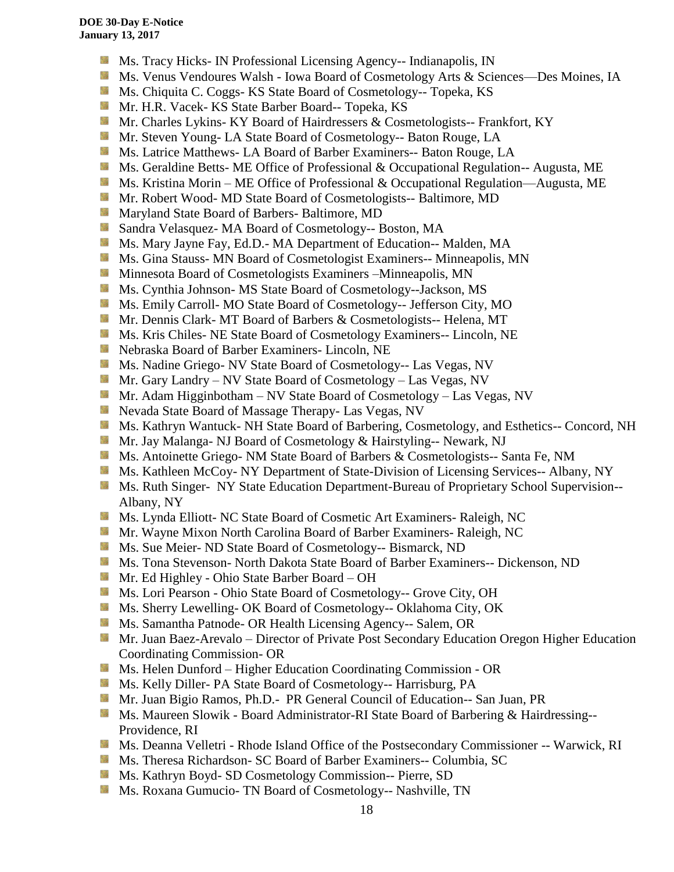- **MS.** Tracy Hicks- IN Professional Licensing Agency-- Indianapolis, IN
- Ms. Venus Vendoures Walsh Iowa Board of Cosmetology Arts & Sciences—Des Moines, IA
- **Ms.** Chiquita C. Coggs- KS State Board of Cosmetology-- Topeka, KS
- Mr. H.R. Vacek- KS State Barber Board-- Topeka, KS
- **Mr.** Charles Lykins- KY Board of Hairdressers & Cosmetologists-- Frankfort, KY
- **Mr. Steven Young- LA State Board of Cosmetology-- Baton Rouge, LA**
- **Ms. Latrice Matthews- LA Board of Barber Examiners-- Baton Rouge, LA**
- Ms. Geraldine Betts- ME Office of Professional & Occupational Regulation-- Augusta, ME
- Ms. Kristina Morin ME Office of Professional & Occupational Regulation—Augusta, ME
- **Mr. Robert Wood- MD State Board of Cosmetologists-- Baltimore, MD**
- **Maryland State Board of Barbers- Baltimore, MD**
- **Sandra Velasquez- MA Board of Cosmetology-- Boston, MA**
- Ms. Mary Jayne Fay, Ed.D.- MA Department of Education-- Malden, MA
- **MS.** Gina Stauss- MN Board of Cosmetologist Examiners-- Minneapolis, MN
- **Minnesota Board of Cosmetologists Examiners –Minneapolis, MN**
- **Ms.** Cynthia Johnson- MS State Board of Cosmetology--Jackson, MS
- **Ms.** Emily Carroll- MO State Board of Cosmetology-- Jefferson City, MO
- Mr. Dennis Clark- MT Board of Barbers & Cosmetologists-- Helena, MT
- **Ms. Kris Chiles- NE State Board of Cosmetology Examiners-- Lincoln, NE**
- Nebraska Board of Barber Examiners- Lincoln, NE
- **Ms. Nadine Griego- NV State Board of Cosmetology-- Las Vegas, NV**
- Mr. Gary Landry NV State Board of Cosmetology Las Vegas, NV
- **Mr.** Adam Higginbotham NV State Board of Cosmetology Las Vegas, NV
- **Nevada State Board of Massage Therapy- Las Vegas, NV**
- Ms. Kathryn Wantuck- NH State Board of Barbering, Cosmetology, and Esthetics-- Concord, NH
- **Mr. Jay Malanga- NJ Board of Cosmetology & Hairstyling-- Newark, NJ**
- **MS.** Antoinette Griego- NM State Board of Barbers & Cosmetologists-- Santa Fe, NM
- **Ms. Kathleen McCoy- NY Department of State-Division of Licensing Services-- Albany, NY**
- **Ms. Ruth Singer- NY State Education Department-Bureau of Proprietary School Supervision--**Albany, NY
- **Ms. Lynda Elliott- NC State Board of Cosmetic Art Examiners- Raleigh, NC**
- Mr. Wayne Mixon North Carolina Board of Barber Examiners- Raleigh, NC
- **Ms. Sue Meier- ND State Board of Cosmetology-- Bismarck, ND**
- Ms. Tona Stevenson- North Dakota State Board of Barber Examiners-- Dickenson, ND
- Mr. Ed Highley Ohio State Barber Board OH
- Ms. Lori Pearson Ohio State Board of Cosmetology-- Grove City, OH
- **Ms. Sherry Lewelling- OK Board of Cosmetology-- Oklahoma City, OK**
- **Ms. Samantha Patnode- OR Health Licensing Agency-- Salem, OR**
- **Mr. Juan Baez-Arevalo** Director of Private Post Secondary Education Oregon Higher Education Coordinating Commission- OR
- **MS.** Helen Dunford Higher Education Coordinating Commission OR
- Ms. Kelly Diller- PA State Board of Cosmetology-- Harrisburg, PA
- Mr. Juan Bigio Ramos, Ph.D.- PR General Council of Education-- San Juan, PR
- **Ms. Maureen Slowik Board Administrator-RI State Board of Barbering & Hairdressing--**Providence, RI
- Ms. Deanna Velletri Rhode Island Office of the Postsecondary Commissioner -- Warwick, RI
- **Ms.** Theresa Richardson- SC Board of Barber Examiners-- Columbia, SC
- **Ms. Kathryn Boyd- SD Cosmetology Commission-- Pierre, SD**
- Ms. Roxana Gumucio- TN Board of Cosmetology-- Nashville, TN